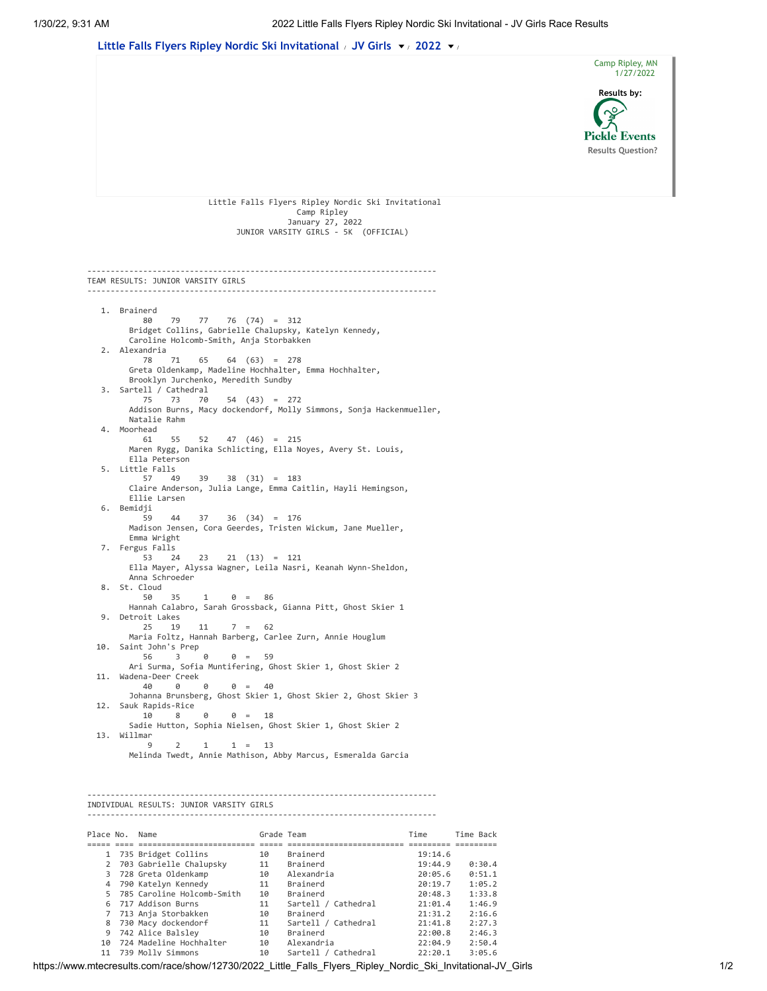

| Place No. | Name                         | Grade leam |                     | ∟me     | lime Back |
|-----------|------------------------------|------------|---------------------|---------|-----------|
|           |                              |            |                     |         |           |
|           | 1 735 Bridget Collins        | 10         | Brainerd            | 19:14.6 |           |
|           | 2 703 Gabrielle Chalupsky    | 11         | Brainerd            | 19:44.9 | 0:30.4    |
|           | 3 728 Greta Oldenkamp        | 10         | Alexandria          | 20:05.6 | 0:51.1    |
|           | 4 790 Katelyn Kennedy        | 11         | Brainerd            | 20:19.7 | 1:05.2    |
|           | 5 785 Caroline Holcomb-Smith | 10         | Brainerd            | 20:48.3 | 1:33.8    |
|           | 6 717 Addison Burns          | 11         | Sartell / Cathedral | 21:01.4 | 1:46.9    |
|           | 7 713 Anja Storbakken        | 10         | Brainerd            | 21:31.2 | 2:16.6    |
|           | 8 730 Macy dockendorf        | 11         | Sartell / Cathedral | 21:41.8 | 2:27.3    |
|           | 9 742 Alice Balsley          | 10         | Brainerd            | 22:00.8 | 2:46.3    |
| 10        | 724 Madeline Hochhalter      | 10         | Alexandria          | 22:04.9 | 2:50.4    |
|           | 11 739 Molly Simmons         | 10         | Sartell / Cathedral | 22:20.1 | 3:05.6    |
|           |                              |            |                     |         |           |